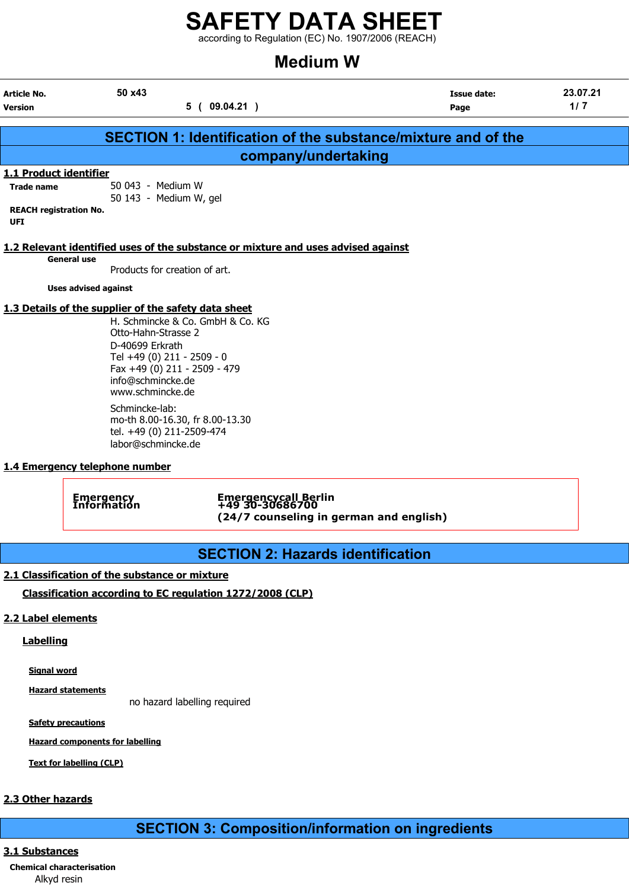according to Regulation (EC) No. 1907/2006 (REACH)

## Medium W

| <b>Article No.</b><br><b>Version</b>                                                       | 50 x43                                                                                                                                                                                                | 5(09.04.21)                                                                        | <b>Issue date:</b><br>Page                                    | 23.07.21<br>1/7 |
|--------------------------------------------------------------------------------------------|-------------------------------------------------------------------------------------------------------------------------------------------------------------------------------------------------------|------------------------------------------------------------------------------------|---------------------------------------------------------------|-----------------|
|                                                                                            |                                                                                                                                                                                                       |                                                                                    | SECTION 1: Identification of the substance/mixture and of the |                 |
|                                                                                            |                                                                                                                                                                                                       | company/undertaking                                                                |                                                               |                 |
| 1.1 Product identifier<br><b>Trade name</b><br><b>REACH registration No.</b><br><b>UFI</b> | 50 043 - Medium W<br>50 143 - Medium W, gel                                                                                                                                                           |                                                                                    |                                                               |                 |
| <b>General use</b>                                                                         | Products for creation of art.                                                                                                                                                                         | 1.2 Relevant identified uses of the substance or mixture and uses advised against  |                                                               |                 |
|                                                                                            | <b>Uses advised against</b>                                                                                                                                                                           |                                                                                    |                                                               |                 |
|                                                                                            | 1.3 Details of the supplier of the safety data sheet<br>Otto-Hahn-Strasse 2<br>D-40699 Erkrath<br>Tel +49 (0) 211 - 2509 - 0<br>Fax +49 (0) 211 - 2509 - 479<br>info@schmincke.de<br>www.schmincke.de | H. Schmincke & Co. GmbH & Co. KG                                                   |                                                               |                 |
|                                                                                            | Schmincke-lab:<br>mo-th 8.00-16.30, fr 8.00-13.30<br>tel. +49 (0) 211-2509-474<br>labor@schmincke.de                                                                                                  |                                                                                    |                                                               |                 |
|                                                                                            | 1.4 Emergency telephone number                                                                                                                                                                        |                                                                                    |                                                               |                 |
|                                                                                            | <b>Emergency</b><br>Information                                                                                                                                                                       | Emergencycall Berlin<br>+49 30-30686700<br>(24/7 counseling in german and english) |                                                               |                 |

## SECTION 2: Hazards identification

## 2.1 Classification of the substance or mixture

Classification according to EC regulation 1272/2008 (CLP)

## 2.2 Label elements

## **Labelling**

Signal word

Hazard statements

no hazard labelling required

**Safety precautions** 

Hazard components for labelling

Text for labelling (CLP)

## 2.3 Other hazards

## SECTION 3: Composition/information on ingredients

## 3.1 Substances

Chemical characterisation Alkyd resin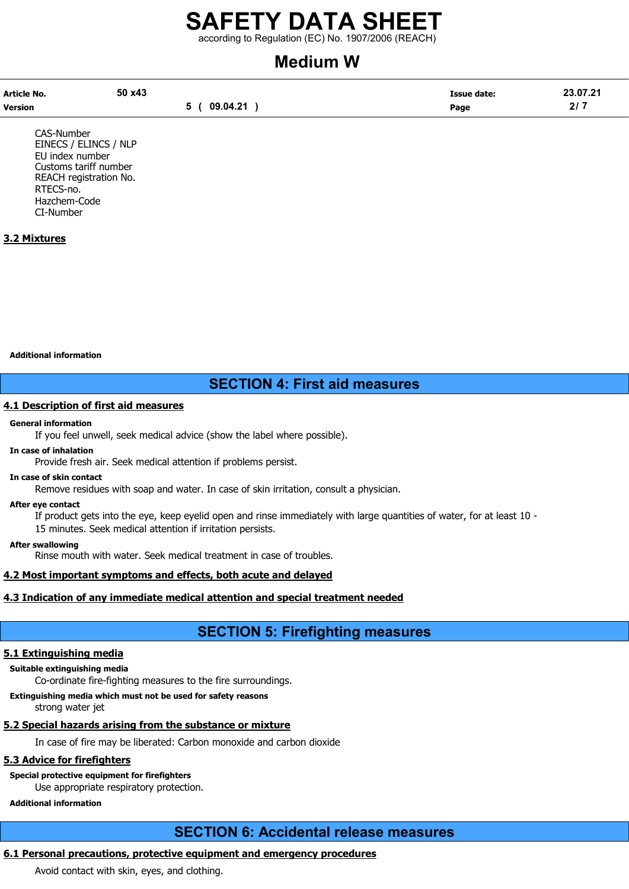## SAFETY DATA SHEET according to Regulation (EC) No. 1907/2006 (REACH)

# Medium W

| Article No.    | 50 x43 |          | <b>Issue date:</b> | 23.07.21 |
|----------------|--------|----------|--------------------|----------|
| <b>Version</b> |        | 09.04.21 | Page               | 217      |

CAS-Number EINECS / ELINCS / NLP EU index number Customs tariff number REACH registration No. RTECS-no. Hazchem-Code CI-Number

## 3.2 Mixtures

Additional information

## SECTION 4: First aid measures

## 4.1 Description of first aid measures

#### General information

If you feel unwell, seek medical advice (show the label where possible).

#### In case of inhalation

Provide fresh air. Seek medical attention if problems persist.

## In case of skin contact

Remove residues with soap and water. In case of skin irritation, consult a physician.

#### After eye contact

If product gets into the eye, keep eyelid open and rinse immediately with large quantities of water, for at least 10 - 15 minutes. Seek medical attention if irritation persists.

#### After swallowing

Rinse mouth with water. Seek medical treatment in case of troubles.

## 4.2 Most important symptoms and effects, both acute and delayed

## 4.3 Indication of any immediate medical attention and special treatment needed

## SECTION 5: Firefighting measures

## 5.1 Extinguishing media

#### Suitable extinguishing media

Co-ordinate fire-fighting measures to the fire surroundings.

Extinguishing media which must not be used for safety reasons

strong water jet

## 5.2 Special hazards arising from the substance or mixture

In case of fire may be liberated: Carbon monoxide and carbon dioxide

## 5.3 Advice for firefighters

Special protective equipment for firefighters Use appropriate respiratory protection.

## Additional information

## SECTION 6: Accidental release measures

## 6.1 Personal precautions, protective equipment and emergency procedures

Avoid contact with skin, eyes, and clothing.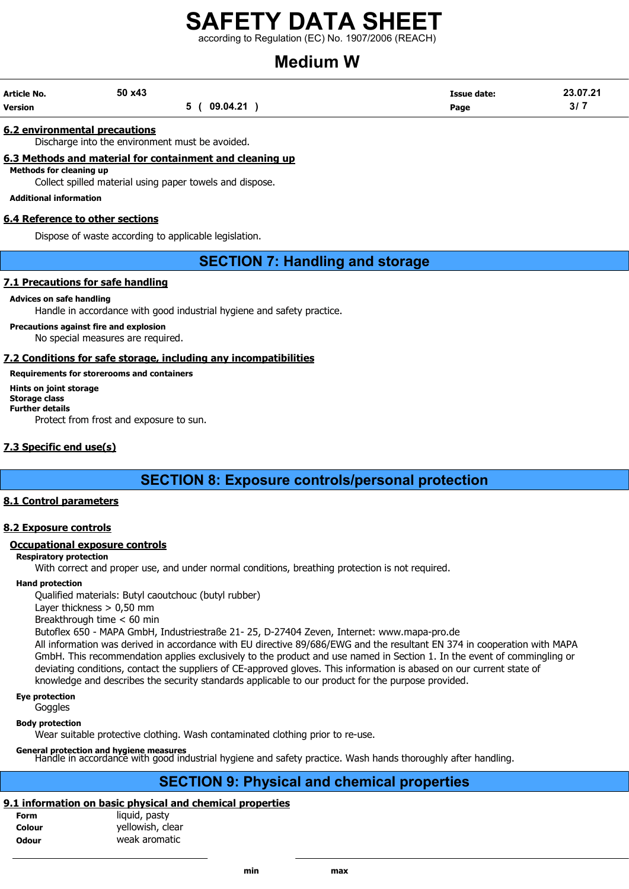according to Regulation (EC) No. 1907/2006 (REACH)

# Medium W

| <b>Article No.</b> | 50 x43 |          | <b>Issue date:</b> | 23.07.21 |
|--------------------|--------|----------|--------------------|----------|
| <b>Version</b>     |        | 09.04.21 | Page               | 3/7      |

### 6.2 environmental precautions

Discharge into the environment must be avoided.

## 6.3 Methods and material for containment and cleaning up

Methods for cleaning up

Collect spilled material using paper towels and dispose.

#### Additional information

## 6.4 Reference to other sections

Dispose of waste according to applicable legislation.

## SECTION 7: Handling and storage

## 7.1 Precautions for safe handling

#### Advices on safe handling

Handle in accordance with good industrial hygiene and safety practice.

Precautions against fire and explosion

No special measures are required.

## 7.2 Conditions for safe storage, including any incompatibilities

## Requirements for storerooms and containers

Hints on joint storage Storage class Further details Protect from frost and exposure to sun.

## 7.3 Specific end use(s)

SECTION 8: Exposure controls/personal protection

## 8.1 Control parameters

## 8.2 Exposure controls

#### Occupational exposure controls

#### Respiratory protection

With correct and proper use, and under normal conditions, breathing protection is not required.

### Hand protection

Qualified materials: Butyl caoutchouc (butyl rubber)

Layer thickness > 0,50 mm

Breakthrough time < 60 min

Butoflex 650 - MAPA GmbH, Industriestraße 21- 25, D-27404 Zeven, Internet: www.mapa-pro.de

All information was derived in accordance with EU directive 89/686/EWG and the resultant EN 374 in cooperation with MAPA GmbH. This recommendation applies exclusively to the product and use named in Section 1. In the event of commingling or deviating conditions, contact the suppliers of CE-approved gloves. This information is abased on our current state of knowledge and describes the security standards applicable to our product for the purpose provided.

## Eye protection

Goggles

Body protection

Wear suitable protective clothing. Wash contaminated clothing prior to re-use.

#### General protection and hygiene measures

Handle in accordance with good industrial hygiene and safety practice. Wash hands thoroughly after handling.

## SECTION 9: Physical and chemical properties

## 9.1 information on basic physical and chemical properties

| <b>Form</b>  | liquid, pasty    |
|--------------|------------------|
| Colour       | yellowish, clear |
| <b>Odour</b> | weak aromatic    |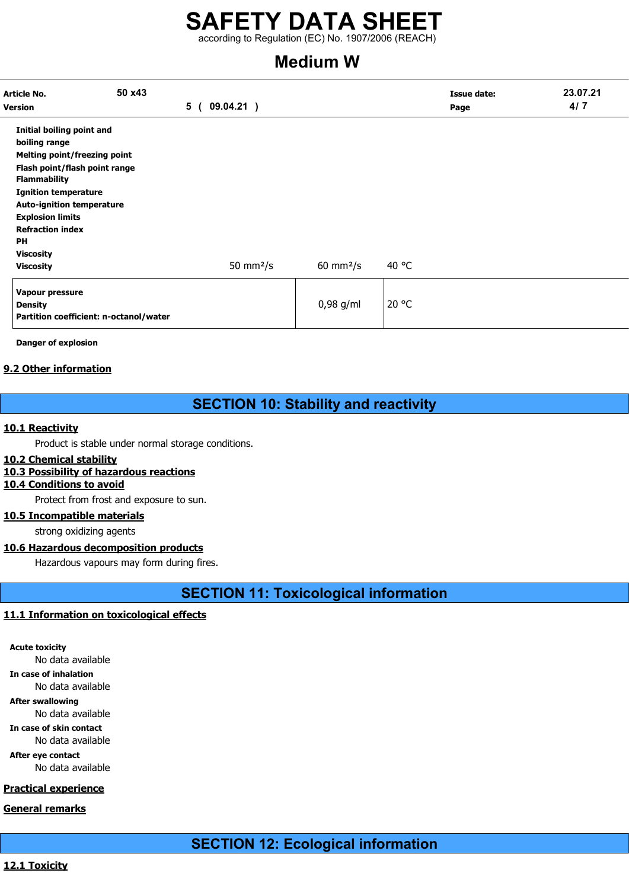according to Regulation (EC) No. 1907/2006 (REACH)

# Medium W

| Article No.<br><b>Version</b>                                                                                                                                                                                                                                                                | 50 x43 | 5 (<br>09.04.21) |                      |       | <b>Issue date:</b><br>Page | 23.07.21<br>4/7 |
|----------------------------------------------------------------------------------------------------------------------------------------------------------------------------------------------------------------------------------------------------------------------------------------------|--------|------------------|----------------------|-------|----------------------------|-----------------|
| Initial boiling point and<br>boiling range<br>Melting point/freezing point<br>Flash point/flash point range<br><b>Flammability</b><br><b>Ignition temperature</b><br><b>Auto-ignition temperature</b><br><b>Explosion limits</b><br><b>Refraction index</b><br><b>PH</b><br><b>Viscosity</b> |        | 50 mm $2/s$      | $60 \text{ mm}^2$ /s | 40 °C |                            |                 |
| <b>Viscosity</b><br>Vapour pressure<br><b>Density</b><br>Partition coefficient: n-octanol/water                                                                                                                                                                                              |        |                  | $0,98$ g/ml          | 20 °C |                            |                 |

Danger of explosion

## 9.2 Other information

## SECTION 10: Stability and reactivity

## 10.1 Reactivity

Product is stable under normal storage conditions.

## 10.2 Chemical stability

## 10.3 Possibility of hazardous reactions

## 10.4 Conditions to avoid

Protect from frost and exposure to sun.

## 10.5 Incompatible materials

strong oxidizing agents

## 10.6 Hazardous decomposition products

Hazardous vapours may form during fires.

SECTION 11: Toxicological information

## 11.1 Information on toxicological effects

Acute toxicity No data available In case of inhalation No data available After swallowing No data available

In case of skin contact

No data available

After eye contact No data available

## Practical experience

General remarks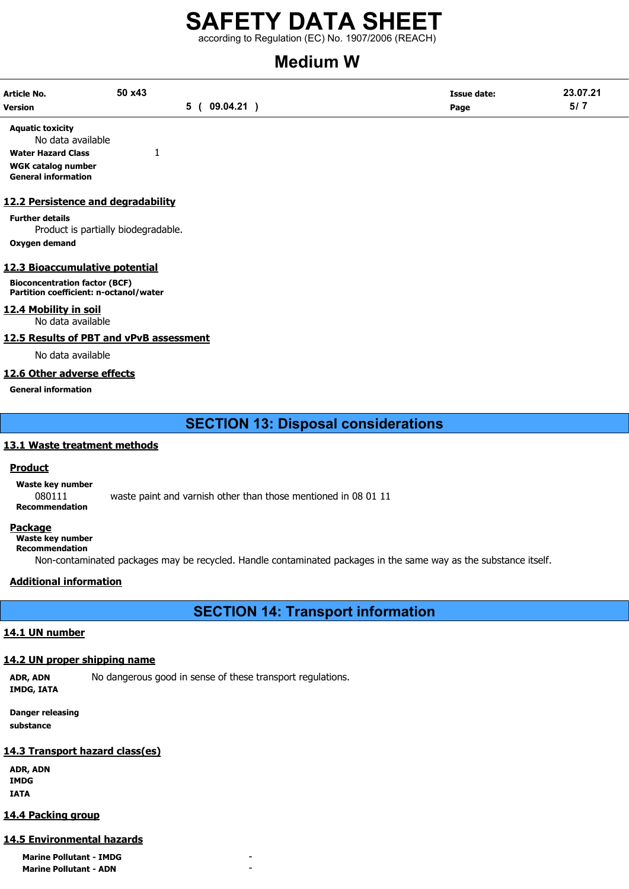## SAFETY DATA SHEET  $\frac{22}{12}$  according to Regulation (EC) No. 1907/2006 (REACH)

# Modium W

| <b>IVICUIUIII VV</b>                                                   |        |             |                                                                                                                  |                    |          |
|------------------------------------------------------------------------|--------|-------------|------------------------------------------------------------------------------------------------------------------|--------------------|----------|
| <b>Article No.</b>                                                     | 50 x43 |             |                                                                                                                  | <b>Issue date:</b> | 23.07.21 |
| <b>Version</b>                                                         |        | 5(09.04.21) |                                                                                                                  | Page               | 5/7      |
| <b>Aquatic toxicity</b><br>No data available                           |        |             |                                                                                                                  |                    |          |
| <b>Water Hazard Class</b>                                              | 1      |             |                                                                                                                  |                    |          |
| WGK catalog number<br><b>General information</b>                       |        |             |                                                                                                                  |                    |          |
| 12.2 Persistence and degradability                                     |        |             |                                                                                                                  |                    |          |
| <b>Further details</b><br>Product is partially biodegradable.          |        |             |                                                                                                                  |                    |          |
| Oxygen demand                                                          |        |             |                                                                                                                  |                    |          |
| 12.3 Bioaccumulative potential<br><b>Bioconcentration factor (BCF)</b> |        |             |                                                                                                                  |                    |          |
| Partition coefficient: n-octanol/water                                 |        |             |                                                                                                                  |                    |          |
| 12.4 Mobility in soil<br>No data available                             |        |             |                                                                                                                  |                    |          |
| 12.5 Results of PBT and vPvB assessment                                |        |             |                                                                                                                  |                    |          |
| No data available                                                      |        |             |                                                                                                                  |                    |          |
| 12.6 Other adverse effects                                             |        |             |                                                                                                                  |                    |          |
| <b>General information</b>                                             |        |             |                                                                                                                  |                    |          |
|                                                                        |        |             | <b>SECTION 13: Disposal considerations</b>                                                                       |                    |          |
| 13.1 Waste treatment methods                                           |        |             |                                                                                                                  |                    |          |
| <b>Product</b>                                                         |        |             |                                                                                                                  |                    |          |
| Waste key number                                                       |        |             |                                                                                                                  |                    |          |
| 080111<br><b>Recommendation</b>                                        |        |             | waste paint and varnish other than those mentioned in 08 01 11                                                   |                    |          |
| <b>Package</b><br>Waste key number<br><b>Recommendation</b>            |        |             | Non-contaminated packages may be recycled. Handle contaminated packages in the same way as the substance itself. |                    |          |
|                                                                        |        |             |                                                                                                                  |                    |          |

## Additional information

SECTION 14: Transport information

## 14.1 UN number

## 14.2 UN proper shipping name

ADR, ADN No dangerous good in sense of these transport regulations. IMDG, IATA

Danger releasing substance

## 14.3 Transport hazard class(es)

ADR, ADN IMDG IATA

## 14.4 Packing group

### 14.5 Environmental hazards

**Marine Pollutant - IMDG Marine Pollutant - ADN**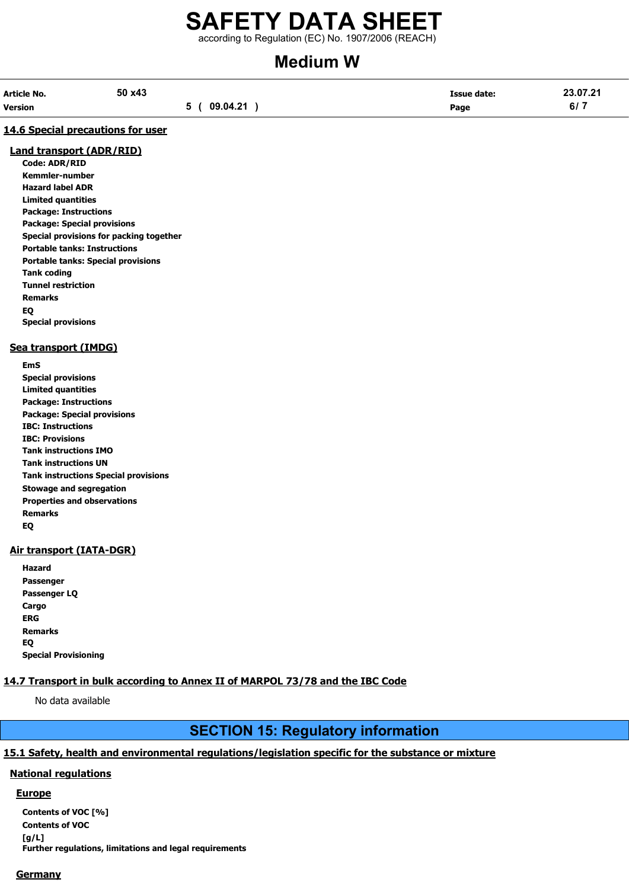according to Regulation (EC) No. 1907/2006 (REACH)

# Medium W

| Article No. | 50 x43 |              | <b>Issue date:</b> | 23.07.21 |
|-------------|--------|--------------|--------------------|----------|
| Version     |        | 5 ( 09.04.21 | Page               | 6/7      |

## 14.6 Special precautions for user

## Land transport (ADR/RID)

Code: ADR/RID Kemmler-number Hazard label ADR Limited quantities Package: Instructions Package: Special provisions Special provisions for packing together Portable tanks: Instructions Portable tanks: Special provisions Tank coding Tunnel restriction Remarks EQ Special provisions

## Sea transport (IMDG)

EmS Special provisions Limited quantities Package: Instructions Package: Special provisions IBC: Instructions IBC: Provisions Tank instructions IMO Tank instructions UN Tank instructions Special provisions Stowage and segregation Properties and observations Remarks EQ

## Air transport (IATA-DGR)

| Hazard                      |
|-----------------------------|
| Passenger                   |
| Passenger LQ                |
| Cargo                       |
| ERG                         |
| <b>Remarks</b>              |
| EQ                          |
| <b>Special Provisioning</b> |

## 14.7 Transport in bulk according to Annex II of MARPOL 73/78 and the IBC Code

No data available

## SECTION 15: Regulatory information

## 15.1 Safety, health and environmental regulations/legislation specific for the substance or mixture

## National regulations

## Europe

Contents of VOC [%] Contents of VOC [g/L] Further regulations, limitations and legal requirements

## **Germany**